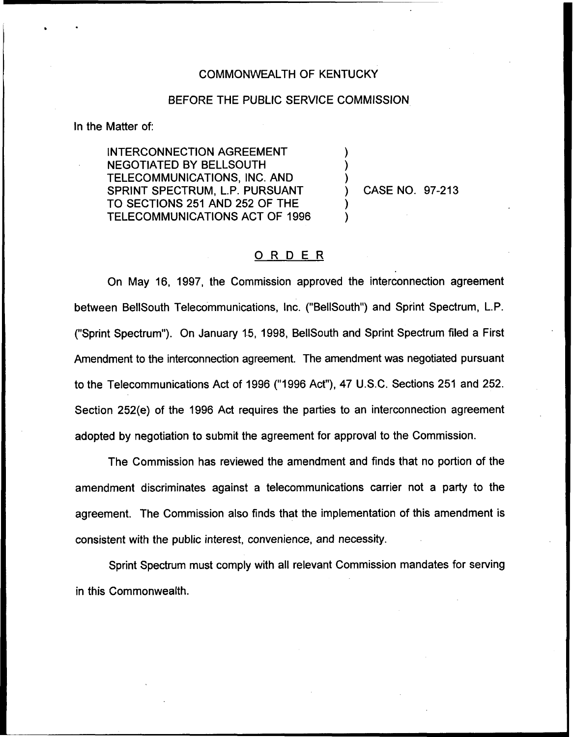## COMMONWEALTH OF KENTUCKY

## BEFORE THE PUBLIC SERVICE COMMISSION

) ) )

) )

In the Matter of:

INTERCONNECTION AGREEMENT NEGOTIATED BY BELLSOUTH TELECOMMUNICATIONS, INC. AND SPRINT SPECTRUM, L.P. PURSUANT TO SECTIONS 251 AND 252 OF THE TELECOMMUNICATIONS ACT OF 1996

) CASE NO. 97-213

## ORDER

On May 16, 1997, the Commission approved the interconnection agreement between BellSouth Telecommunications, Inc. ("BellSouth") and Sprint Spectrum, L.P. ("Sprint Spectrum"). On January 15, 1998, BellSouth and Sprint Spectrum filed a First Amendment to the interconnection agreement. The amendment was negotiated pursuant to the Telecommunications Act of 1996 ("1996 Act"), 47 U.S.C. Sections 251 and 252. Section 252(e) of the 1996 Act requires the parties to an interconnection agreement adopted by negotiation to submit the agreement for approval to the Commission.

The Commission has reviewed the amendment and finds that no portion of the amendment discriminates against a telecommunications carrier not a party to the agreement. The Commission also finds that the implementation of this amendment is consistent with the public interest, convenience, and necessity.

Sprint Spectrum must comply with all relevant Commission mandates for serving in this Commonwealth.